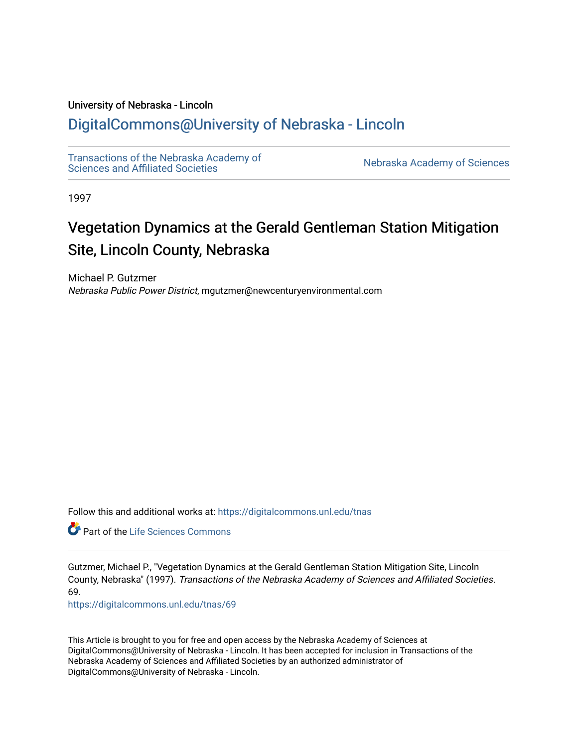# University of Nebraska - Lincoln

# [DigitalCommons@University of Nebraska - Lincoln](https://digitalcommons.unl.edu/)

[Transactions of the Nebraska Academy of](https://digitalcommons.unl.edu/tnas)  Transactions of the Nebraska Academy of Sciences<br>Sciences and Affiliated Societies

1997

# Vegetation Dynamics at the Gerald Gentleman Station Mitigation Site, Lincoln County, Nebraska

Michael P. Gutzmer Nebraska Public Power District, mgutzmer@newcenturyenvironmental.com

Follow this and additional works at: [https://digitalcommons.unl.edu/tnas](https://digitalcommons.unl.edu/tnas?utm_source=digitalcommons.unl.edu%2Ftnas%2F69&utm_medium=PDF&utm_campaign=PDFCoverPages) 

**C** Part of the Life Sciences Commons

Gutzmer, Michael P., "Vegetation Dynamics at the Gerald Gentleman Station Mitigation Site, Lincoln County, Nebraska" (1997). Transactions of the Nebraska Academy of Sciences and Affiliated Societies. 69.

[https://digitalcommons.unl.edu/tnas/69](https://digitalcommons.unl.edu/tnas/69?utm_source=digitalcommons.unl.edu%2Ftnas%2F69&utm_medium=PDF&utm_campaign=PDFCoverPages)

This Article is brought to you for free and open access by the Nebraska Academy of Sciences at DigitalCommons@University of Nebraska - Lincoln. It has been accepted for inclusion in Transactions of the Nebraska Academy of Sciences and Affiliated Societies by an authorized administrator of DigitalCommons@University of Nebraska - Lincoln.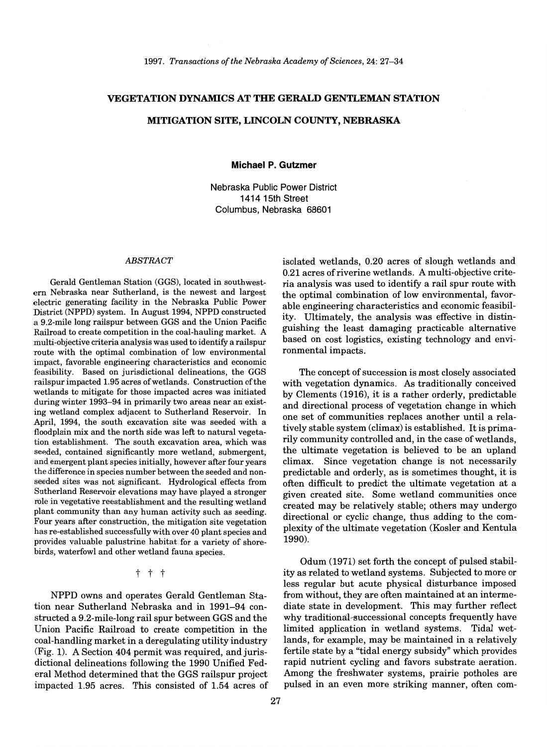#### VEGETATION DYNAMICS AT THE GERALD GENTLEMAN STATION

## MITIGATION SITE, LINCOLN COUNTY, NEBRASKA

Michael P. Gutzmer

Nebraska Public Power District 1414 15th Street Columbus, Nebraska 68601

#### *ABSTRACT*

Gerald Gentleman Station (GGS), located in southwestern Nebraska near Sutherland, is the newest and largest electric generating facility in the Nebraska Public Power District (NPPD) system. In August 1994, NPPD constructed a 9.2-mile long railspur between GGS and the Union Pacific Railroad to create competition in the coal-hauling market. A multi-objective criteria analysis was used to identify a railspur route with the optimal combination of low environmental impact, favorable engineering characteristics and economic feasibility. Based on jurisdictional delineations, the GGS railspur impacted 1.95 acres of wetlands. Construction ofthe wetlands to mitigate for those impacted acres was initiated during winter 1993-94 in primarily two areas near an existing wetland complex adjacent to Sutherland Reservoir. In April, 1994, the south excavation site was seeded with a floodplain mix and the north side was left to natural vegetation establishment. The south excavation area, which was seeded, contained significantly more wetland, submergent, and emergent plant species initially, however after four years the difference in species number between the seeded and nonseeded sites was not significant. Hydrological effects from Sutherland Reservoir elevations may have played a stronger role in vegetative reestablishment and the resulting wetland plant community than any human activity such as seeding. Four years after construction, the mitigation site vegetation has re-established successfully with over 40 plant species and provides valuable palustrine habitat for a variety of shorebirds, waterfowl and other wetland fauna species.

#### t t t

NPPD owns and operates Gerald Gentleman Station near Sutherland Nebraska and in 1991-94 constructed a 9.2-mile-Iong rail spur between GGS and the Union Pacific Railroad to create competition in the coal-handling market in a deregulating utility industry (Fig. 1). A Section 404 permit was required, and jurisdictional delineations following the 1990 Unified Federal Method determined that the GGS railspur project impacted 1.95 acres. This consisted of 1.54 acres of isolated wetlands, 0.20 acres of slough wetlands and 0.21 acres of riverine wetlands. A multi-objective criteria analysis was used to identify a rail spur route with the optimal combination of low environmental, favorable engineering characteristics and economic feasibility. Ultimately, the analysis was effective in distinguishing the least damaging practicable alternative based on cost logistics, existing technology and environmental impacts.

The concept of succession is most closely associated with vegetation dynamics. As traditionally conceived by Clements (1916), it is a rather orderly, predictable and directional process of vegetation change in which one set of communities replaces another until a relatively stable system (climax) is established. It is primarily community controlled and, in the case of wetlands, the ultimate vegetation is believed to be an upland climax. Since vegetation change is not necessarily predictable and orderly, as is sometimes thought, it is often difficult to predict the ultimate vegetation at a given created site. Some wetland communities once created may be relatively stable; others may undergo directional or cyclic change, thus adding to the complexity of the ultimate vegetation (KosIer and Kentula 1990).

Odum (1971) set forth the concept of pulsed stability as related to wetland systems. Subjected to more or less regular but acute physical disturbance imposed from without, they are often maintained at an intermediate state in development. This may further reflect why traditional-successional concepts frequently have limited application in wetland systems. Tidal wetlands, for example, may be maintained in a relatively fertile state by a "tidal energy subsidy" which provides rapid nutrient cycling and favors substrate aeration. Among the freshwater systems, prairie potholes are pulsed in an even more striking manner, often com-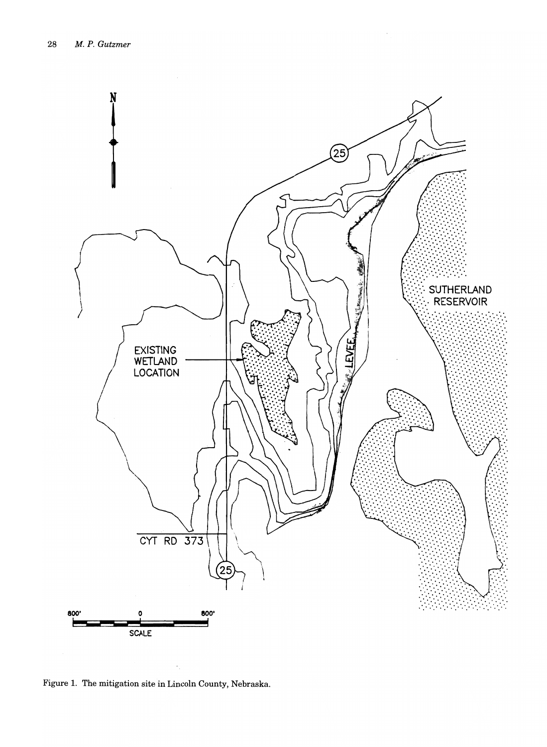

Figure 1. The mitigation site in Lincoln County, Nebraska.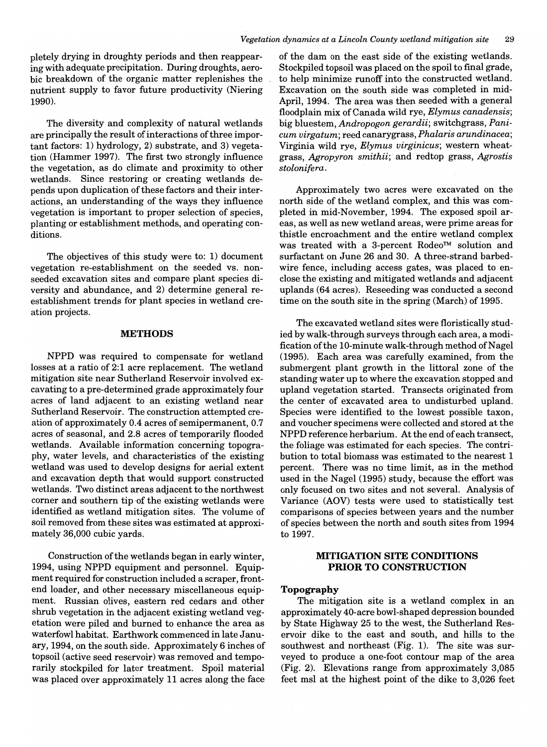pletely drying in droughty periods and then reappearing with adequate precipitation. During droughts, aerobic breakdown of the organic matter replenishes the nutrient supply to favor future productivity (Niering 1990).

The diversity and complexity of natural wetlands are principally the result of interactions of three important factors: 1) hydrology, 2) substrate, and 3) vegetation (Hammer 1997). The first two strongly influence the vegetation, as do climate and proximity to other wetlands. Since restoring or creating wetlands depends upon duplication of these factors and their interactions, an understanding of the ways they influence vegetation is important to proper selection of species, planting or establishment methods, and operating conditions.

The objectives of this study were to: 1) document vegetation re-establishment on the seeded vs. nonseeded excavation sites and compare plant species diversity and abundance, and 2) determine general reestablishment trends for plant species in wetland creation projects.

#### **METHODS**

NPPD was required to compensate for wetland losses at a ratio of 2:1 acre replacement. The wetland mitigation site near Sutherland Reservoir involved excavating to a pre-determined grade approximately four acres of land adjacent to an existing wetland near Sutherland Reservoir. The construction attempted creation of approximately 0.4 acres of semipermanent, 0.7 acres of seasonal, and 2.8 acres of temporarily flooded wetlands. Available information concerning topography, water levels, and characteristics of the existing wetland was used to develop designs for aerial extent and excavation depth that would support constructed wetlands. Two distinct areas adjacent to the northwest corner and southern tip of the existing wetlands were identified as wetland mitigation sites. The volume of soil removed from these sites was estimated at approximately 36,000 cubic yards.

Construction of the wetlands began in early winter, 1994, using NPPD equipment and personnel. Equipment required for construction included a scraper, frontend loader, and other necessary miscellaneous equipment. Russian olives, eastern red cedars and other shrub vegetation in the adjacent existing wetland vegetation were piled and burned to enhance the area as waterfowl habitat. Earthwork commenced in late January, 1994, on the south side. Approximately 6 inches of topsoil (active seed reservoir) was removed and temporarily stockpiled for later treatment. Spoil material was placed over approximately 11 acres along the face

of the dam on the east side of the existing wetlands. Stockpiled topsoil was placed on the spoil to final grade, to help minimize runoff into the constructed wetland. Excavation on the south side was completed in mid-April, 1994. The area was then seeded with a general floodplain mix of Canada wild rye, *Elymus canadensis;*  big bluestem, *Andropogon gerardii;* switchgrass, *Panicum virgatum;* reed canarygrass, *Phalaris arundinacea;*  Virginia wild rye, *Elymus virginicus;* western wheatgrass, *Agropyron smithii;* and redtop grass, *Agrostis stolonifera.* 

Approximately two acres were excavated on the north side of the wetland complex, and this was completed in mid-November, 1994. The exposed spoil areas, as well as new wetland areas, were prime areas for thistle encroachment and the entire wetland complex was treated with a 3-percent Rodeo™ solution and surfactant on June 26 and 30. A three-strand barbedwire fence, including access gates, was placed to enclose the existing and mitigated wetlands and adjacent uplands (64 acres). Reseeding was conducted a second time on the south site in the spring (March) of 1995.

The excavated wetland sites were floristically studied by walk-through surveys through each area, a modification of the 10-minute walk-through method of Nagel (1995). Each area was carefully examined, from the submergent plant growth in the littoral zone of the standing water up to where the excavation stopped and upland vegetation started. Transects originated from the center of excavated area to undisturbed upland. Species were identified to the lowest possible taxon, and voucher specimens were collected and stored at the NPPD reference herbarium. At the end of each transect, the foliage was estimated for each species. The contribution to total biomass was estimated to the nearest 1 percent. There was no time limit, as in the method used in the Nagel (1995) study, because the effort was only focused on two sites and not several. Analysis of Variance (AOV) tests were used to statistically test comparisons of species between years and the number of species between the north and south sites from 1994 to 1997.

# **MITIGATION SITE CONDITIONS PRIOR TO CONSTRUCTION**

#### **Topography**

The mitigation site is a wetland complex in an approximately 40-acre bowl-shaped depression bounded by State Highway 25 to the west, the Sutherland Reservoir dike to the east and south, and hills to the southwest and northeast (Fig. 1). The site was surveyed to produce a one-foot contour map of the area (Fig. 2). Elevations range from approximately 3,085 feet msl at the highest point of the dike to 3,026 feet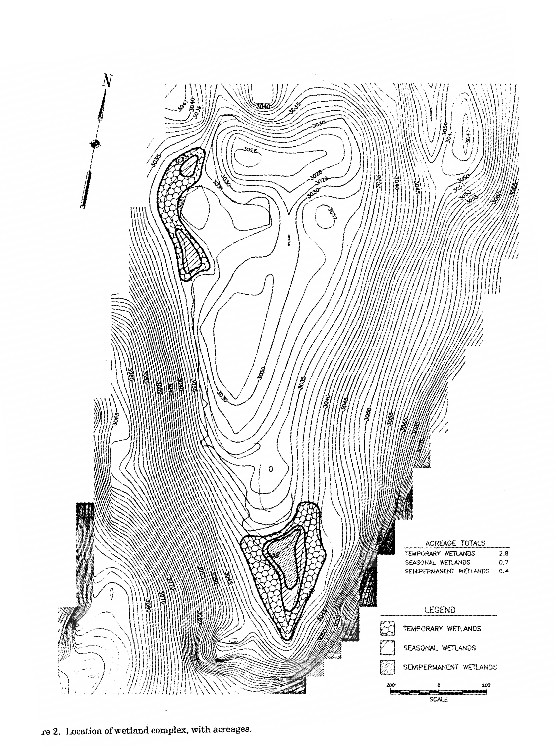

re 2. Location of wetland complex, with acreages.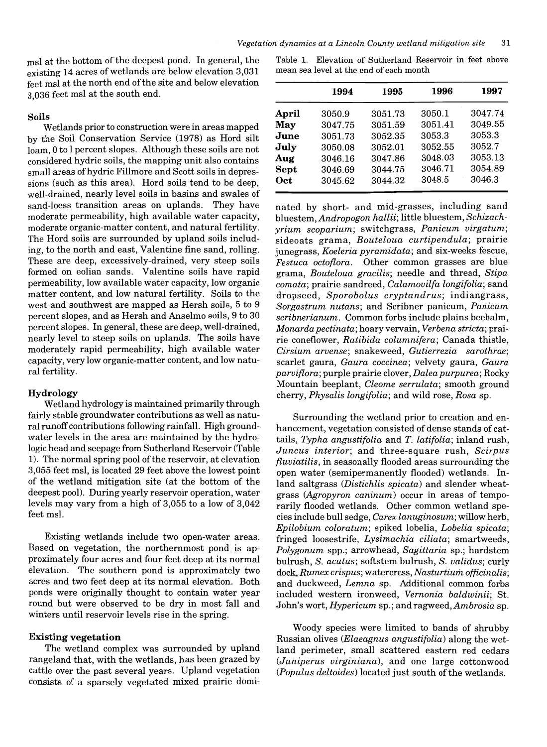msl at the bottom of the deepest pond. In general, the existing 14 acres of wetlands are below elevation 3,031 feet msl at the north end of the site and below elevation 3 , 036 feet msl at the south end.

#### Soils

Wetlands prior to construction were in areas mapped by the Soil Conservation Service (1978) as Hord silt loam, 0 to I percent slopes. Although these soils are not considered hydric soils, the mapping unit also contains small areas of hydric Fillmore and Scott soils in depressions (such as this area). Hord soils tend to be deep, well-drained, nearly level soils in basins and swales of sand-loess transition areas on uplands. They have moderate permeability, high available water capacity, moderate organic-matter content, and natural fertility. The Hord soils are surrounded by upland soils including, to the north and east, Valentine fine sand, rolling. These are deep, excessively-drained, very steep soils formed on eolian sands. Valentine soils have rapid permeability, low available water capacity, low organic matter content, and low natural fertility. Soils to the west and southwest are mapped as Hersh soils, 5 to 9 percent slopes, and as Hersh and Anselmo soils, 9 to 30 percent slopes. In general, these are deep, well-drained, nearly level to steep soils on uplands. The soils have moderately rapid permeability, high available water capacity, very low organic-matter content, and low natural fertility.

#### Hydrology

Wetland hydrology is maintained primarily through fairly stable groundwater contributions as well as natural runoff contributions following rainfall. High groundwater levels in the area are maintained by the hydrologic head and seepage from Sutherland Reservoir (Table 1). The normal spring pool of the reservoir, at elevation 3,055 feet msl, is located 29 feet above the lowest point of the wetland mitigation site (at the bottom of the deepest pool). During yearly reservoir operation, water levels may vary from a high of 3,055 to a low of 3,042 feet msl.

Existing wetlands include two open-water areas. Based on vegetation, the northernmost pond is approximately four acres and four feet deep at its normal elevation. The southern pond is approximately two acres and two feet deep at its normal elevation. Both ponds were originally thought to contain water year round but were observed to be dry in most fall and winters until reservoir levels rise in the spring.

#### Existing vegetation

The wetland complex was surrounded by upland rangeland that, with the wetlands, has been grazed by cattle over the past several years. Upland vegetation consists of a sparsely vegetated mixed prairie domi-

Table 1. Elevation of Sutherland Reservoir in feet above mean sea level at the end of each month

|       | 1994    | 1995    | 1996    | 1997    |
|-------|---------|---------|---------|---------|
| April | 3050.9  | 3051.73 | 3050.1  | 3047.74 |
| May   | 3047.75 | 3051.59 | 3051.41 | 3049.55 |
| June  | 3051.73 | 3052.35 | 3053.3  | 3053.3  |
| July  | 3050.08 | 3052.01 | 3052.55 | 3052.7  |
| Aug   | 3046.16 | 3047.86 | 3048.03 | 3053.13 |
| Sept  | 3046.69 | 3044.75 | 3046.71 | 3054.89 |
| Oct   | 3045.62 | 3044.32 | 3048.5  | 3046.3  |
|       |         |         |         |         |

nated by short- and mid-grasses, including sand bluestem, *Andropogon hallii;* little bluestem, *Schizachyrium scoparium;* switchgrass, *Panicum uirgatum;*  sideoats grama, *Bouteloua curtipendula;* prairie junegrass, *Koeleria pyramidata;* and six-weeks fescue, *Festuca octoflora.* Other common grasses are blue grama, *Bouteloua gracilis;* needle and thread, *Stipa comata;* prairie sandreed, *Calamouilfa longifolia;* sand dropseed, *Sporobolus cryptandrus;* indiangrass, *Sorgastrum nutans;* and Scribner panicum, *Panicum scribnerianum.* Common forbs include plains beebalm, *Monarda pectinata;* hoary vervain, *Verbena stricta;* prairie coneflower, *Ratibida columnifera;* Canada thistle, *Cirsium aruense;* snakeweed, *Gutierrezia sarothrae;*  scarlet gaura, *Gaura coccinea;* velvety gaura, *Gaura paruiflora;* purple prairie clover, *Dalea purpurea;* Rocky Mountain beeplant, *Cleome serrulata;* smooth ground cherry, *Physalis longifolia;* and wild rose, *Rosa* sp.

Surrounding the wetland prior to creation and enhancement, vegetation consisted of dense stands of cattails, *Typha angustifolia* and *T. latifolia;* inland rush, *Juncus interior;* and three-square rush, *Scirpus fluuiatilis,* in seasonally flooded areas surrounding the open water (semipermanently flooded) wetlands. Inland saltgrass *(Distichlis spicata)* and slender wheatgrass *(Agropyron caninum)* occur in areas of temporarily flooded wetlands. Other common wetland species include bull sedge, *Carex lanuginosum;* willow herb, *Epilobium coloratum;* spiked lobelia, *Lobelia spicata;*  fringed loosestrife, *Lysimachia ciliata;* smartweeds, *Polygonum* spp.; arrowhead, *Sagittaria* sp.; hardstem bulrush, *S. acutus;* softstem bulrush, *S. ualidus;* curly dock, *Rumex crispus*; watercress, *Nasturtium officinalis*; and duckweed, *Lemna* sp. Additional common forbs included western ironweed, *Vernonia baldwinii;* St. John's wort, *Hypericum* sp.; and ragweed, *Ambrosia* sp.

Woody species were limited to bands of shrubby Russian olives *(Elaeagnus angustifolia)* along the wetland perimeter, small scattered eastern red cedars *(Juniperus uirginiana),* and one large cottonwood *(Populus deltoides)* located just south of the wetlands.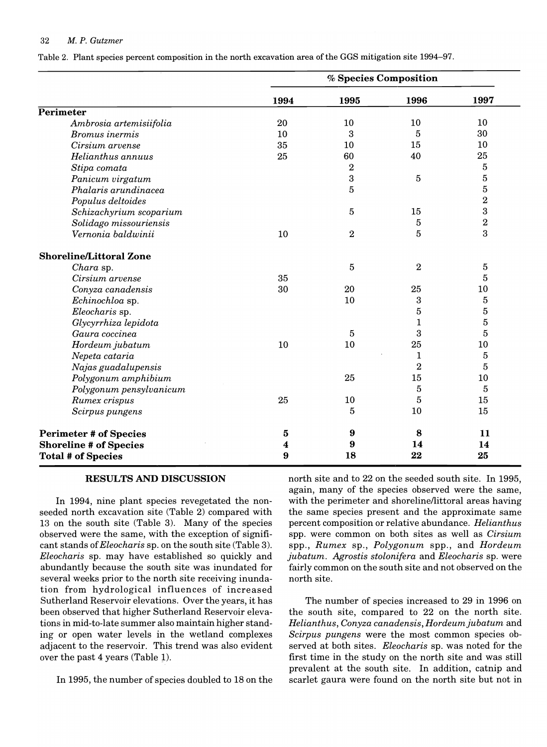#### 32 *M. P. Gutzmer*

Table 2. Plant species percent composition in the north excavation area of the GGS mitigation site 1994–97.

|                                                            | % Species Composition |                |                  |                |
|------------------------------------------------------------|-----------------------|----------------|------------------|----------------|
|                                                            | 1994                  | 1995           | 1996             | 1997           |
| <b>Perimeter</b>                                           |                       |                |                  |                |
| Ambrosia artemisiifolia                                    | 20                    | 10             | 10               | 10             |
| <b>Bromus</b> inermis                                      | 10                    | 3              | 5                | 30             |
| Cirsium arvense                                            | 35                    | 10             | 15               | 10             |
| Helianthus annuus                                          | 25                    | 60             | 40               | 25             |
| Stipa comata                                               |                       | $\sqrt{2}$     |                  | $\bf 5$        |
| Panicum virgatum                                           |                       | 3              | $\sqrt{5}$       | $\overline{5}$ |
| Phalaris arundinacea                                       |                       | 5              |                  | $\bf 5$        |
| Populus deltoides                                          |                       |                |                  | $\bf 2$        |
| Schizachyrium scoparium                                    |                       | 5              | 15               | $\bf{3}$       |
| Solidago missouriensis                                     |                       |                | 5                | $\bf 2$        |
| Vernonia baldwinii                                         | 10                    | $\overline{2}$ | 5                | 3              |
| <b>Shoreline/Littoral Zone</b>                             |                       |                |                  |                |
| Chara sp.                                                  |                       | 5              | $\boldsymbol{2}$ | $\bf 5$        |
| Cirsium arvense                                            | 35                    |                |                  | $\overline{5}$ |
| Conyza canadensis                                          | 30                    | 20             | 25               | 10             |
| Echinochloa sp.                                            |                       | 10             | $\boldsymbol{3}$ | $\bf 5$        |
| Eleocharis sp.                                             |                       |                | 5                | $\overline{5}$ |
| Glycyrrhiza lepidota                                       |                       |                | 1                | $\overline{5}$ |
| Gaura coccinea                                             |                       | $\sqrt{5}$     | 3                | 5              |
| Hordeum jubatum                                            | 10                    | 10             | 25               | 10             |
| Nepeta cataria                                             |                       |                | 1                | $\overline{5}$ |
| Najas guadalupensis                                        |                       |                | $\overline{2}$   | 5              |
| Polygonum amphibium                                        |                       | 25             | 15               | 10             |
| Polygonum pensylvanicum                                    |                       |                | $\bf 5$          | 5              |
| Rumex crispus                                              | 25                    | 10             | 5                | 15             |
| Scirpus pungens                                            |                       | 5              | 10               | 15             |
| <b>Perimeter # of Species</b>                              | ${\bf 5}$             | 9              | 8                | 11             |
| <b>Shoreline # of Species</b><br><b>Total # of Species</b> | 4<br>9                | 9<br>18        | 14<br>22         | 14<br>25       |

#### **RESULTS AND DISCUSSION**

In 1994, nine plant species revegetated the nonseeded north excavation site (Table 2) compared with 13 on the south site (Table 3). Many of the species observed were the same, with the exception of significant stands of *Eleocharis* sp. on the south site (Table 3). *Eleocharis* sp. may have established so quickly and abundantly because the south site was inundated for several weeks prior to the north site receiving inundation from hydrological influences of increased Sutherland Reservoir elevations. Over the years, it has been observed that higher Sutherland Reservoir elevations in mid-to-Iate summer also maintain higher standing or open water levels in the wetland complexes adjacent to the reservoir. This trend was also evident over the past 4 years (Table 1).

In 1995, the number of species doubled to 18 on the

north site and to 22 on the seeded south site. In 1995, again, many of the species observed were the same, with the perimeter and shoreline/littoral areas having the same species present and the approximate same percent composition or relative abundance. *Helianthus*  spp. were common on both sites as well as *Cirsium*  spp., *Rumex* sp., *Polygonum* spp., and *Hordeum jubatum. Agrostis stolonifera* and *Eleocharis* sp. were fairly common on the south site and not observed on the north site.

The number of species increased to 29 in 1996 on the south site, compared to 22 on the north site. *Helianthus, Conyza canadensis, Hordeumjubatum* and *Scirpus pungens* were the most common species observed at both sites. *Eleocharis* sp. was noted for the first time in the study on the north site and was still prevalent at the south site. In addition, catnip and scarlet gaura were found on the north site but not in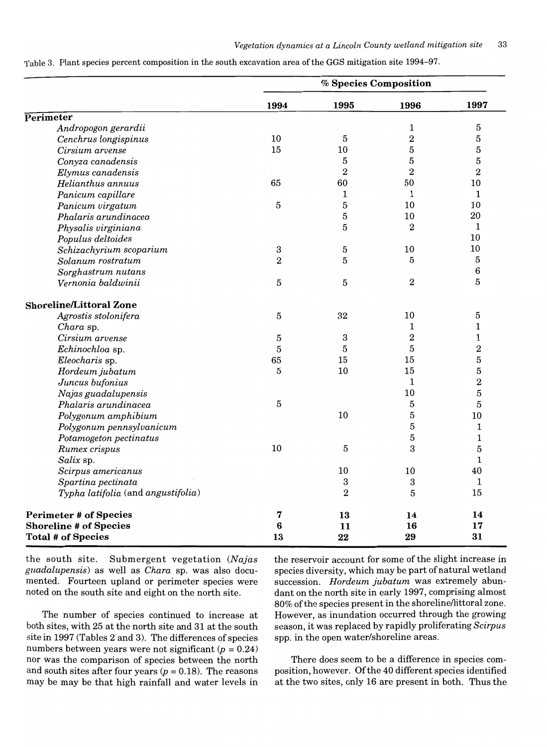Table 3. Plant species percent composition in the south excavation area of the GGS mitigation site 1994-97.

|                                    |                | % Species Composition |                |                |
|------------------------------------|----------------|-----------------------|----------------|----------------|
|                                    | 1994           | 1995                  | 1996           | 1997           |
| Perimeter                          |                |                       |                |                |
| Andropogon gerardii                |                |                       | 1              | $\bf 5$        |
| Cenchrus longispinus               | 10             | 5                     | $\overline{2}$ | $\bf 5$        |
| Cirsium arvense                    | 15             | 10                    | $\overline{5}$ | 5              |
| Conyza canadensis                  |                | 5                     | 5              | $\bf 5$        |
| Elymus canadensis                  |                | $\overline{2}$        | $\overline{2}$ | $\bf{2}$       |
| Helianthus annuus                  | 65             | 60                    | 50             | 10             |
| Panicum capillare                  |                | 1                     | 1              | 1              |
| Panicum virgatum                   | $\overline{5}$ | 5                     | 10             | 10             |
| Phalaris arundinacea               |                | 5                     | 10             | 20             |
| Physalis virginiana                |                | 5                     | $\overline{2}$ | 1              |
| Populus deltoides                  |                |                       |                | 10             |
| Schizachyrium scoparium            | $\bf{3}$       | 5                     | 10             | 10             |
| Solanum rostratum                  | $\overline{2}$ | 5                     | 5              | 5              |
| Sorghastrum nutans                 |                |                       |                | 6              |
| Vernonia baldwinii                 | 5              | 5                     | $\overline{2}$ | 5              |
| <b>Shoreline/Littoral Zone</b>     |                |                       |                |                |
| Agrostis stolonifera               | 5              | 32                    | 10             | 5              |
| Chara sp.                          |                |                       | 1              | $\mathbf{1}$   |
| Cirsium arvense                    | 5              | 3                     | $\overline{2}$ | $\mathbf 1$    |
| Echinochloa sp.                    | $\overline{5}$ | 5                     | 5              | $\bf 2$        |
| Eleocharis sp.                     | 65             | 15                    | 15             | $\overline{5}$ |
| Hordeum jubatum                    | 5              | 10                    | 15             | $\bf 5$        |
| Juncus bufonius                    |                |                       | 1              | $\bf 2$        |
| Najas guadalupensis                |                |                       | 10             | $\bf 5$        |
| Phalaris arundinacea               | 5              |                       | 5              | $\bf 5$        |
| Polygonum amphibium                |                | 10                    | $\overline{5}$ | 10             |
| Polygonum pennsylvanicum           |                |                       | $\bf 5$        | 1              |
| Potamogeton pectinatus             |                |                       | $\bf 5$        | $\mathbf 1$    |
| Rumex crispus                      | 10             | 5                     | 3              | 5              |
| Salix sp.                          |                |                       |                | $\mathbf{1}$   |
| Scirpus americanus                 |                | 10                    | 10             | 40             |
| Spartina pectinata                 |                | 3                     | 3              | $\mathbf 1$    |
| Typha latifolia (and angustifolia) |                | $\overline{2}$        | 5              | 15             |
| <b>Perimeter # of Species</b>      | 7              | 13                    | 14             | 14             |
| <b>Shoreline # of Species</b>      | 6              | 11                    | 16             | 17             |
| <b>Total # of Species</b>          | 13             | 22                    | 29             | 31             |

the south site. Submergent vegetation *(Najas guadalupensis)* as well as *Chara* sp. was also documented. Fourteen upland or perimeter species were noted on the south site and eight on the north site.

The number of species continued to increase at both sites, with 25 at the north site and 31 at the south site in 1997 (Tables 2 and 3). The differences of species numbers between years were not significant  $(p = 0.24)$ nor was the comparison of species between the north and south sites after four years  $(p = 0.18)$ . The reasons may be may be that high rainfall and water levels in

the reservoir account for some of the slight increase in species diversity, which may be part of natural wetland succession. *Hordeum jubatum* was extremely abundant on the north site in early 1997, comprising almost 80% of the species present in the shoreline/littoral zone. However, as inundation occurred through the growing season, it was replaced by rapidly proliferating *Scirpus*  spp. in the open water/shoreline areas.

There does seem to be a difference in species composition, however. Of the 40 different species identified at the two sites, only 16 are present in both. Thus the